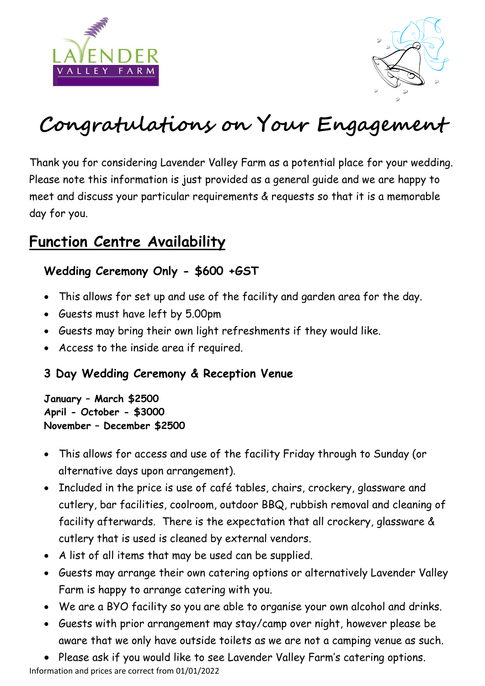



# **Congratulations on Your Engagement**

Thank you for considering Lavender Valley Farm as a potential place for your wedding. Please note this information is just provided as a general guide and we are happy to meet and discuss your particular requirements & requests so that it is a memorable day for you.

### **Function Centre Availability**

#### **Wedding Ceremony Only - \$600 +GST**

- This allows for set up and use of the facility and garden area for the day.
- Guests must have left by 5.00pm
- Guests may bring their own light refreshments if they would like.
- Access to the inside area if required.

#### **3 Day Wedding Ceremony & Reception Venue**

**January – March \$2500 April - October - \$3000 November – December \$2500** 

- This allows for access and use of the facility Friday through to Sunday (or alternative days upon arrangement).
- Included in the price is use of café tables, chairs, crockery, glassware and cutlery, bar facilities, coolroom, outdoor BBQ, rubbish removal and cleaning of facility afterwards. There is the expectation that all crockery, glassware & cutlery that is used is cleaned by external vendors.
- A list of all items that may be used can be supplied.
- Guests may arrange their own catering options or alternatively Lavender Valley Farm is happy to arrange catering with you.
- We are a BYO facility so you are able to organise your own alcohol and drinks.
- Guests with prior arrangement may stay/camp over night, however please be aware that we only have outside toilets as we are not a camping venue as such.
- Please ask if you would like to see Lavender Valley Farm's catering options.

Information and prices are correct from 01/01/2022